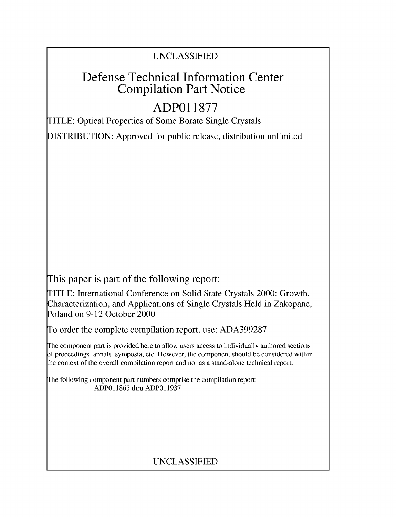### UNCLASSIFIED

## Defense Technical Information Center Compilation Part Notice

# **ADPO 11877**

TITLE: Optical Properties of Some Borate Single Crystals

DISTRIBUTION: Approved for public release, distribution unlimited

This paper is part of the following report:

TITLE: International Conference on Solid State Crystals 2000: Growth, Characterization, and Applications of Single Crystals Held in Zakopane, Poland on 9-12 October 2000

To order the complete compilation report, use: ADA399287

The component part is provided here to allow users access to individually authored sections f proceedings, annals, symposia, etc. However, the component should be considered within [he context of the overall compilation report and not as a stand-alone technical report.

The following component part numbers comprise the compilation report: ADP011865 thru ADP011937

## UNCLASSIFIED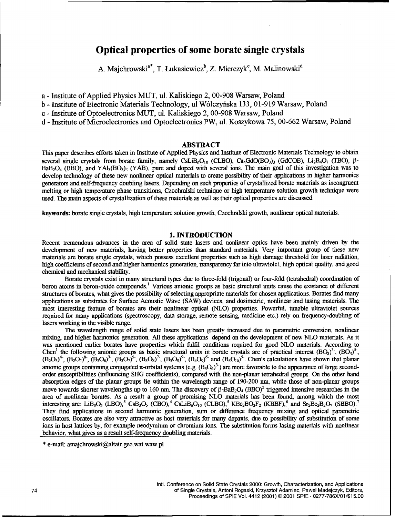### Optical properties of some borate single crystals

A. Majchrowski<sup>a\*</sup>, T. Łukasiewicz<sup>b</sup>, Z. Mierczyk<sup>c</sup>, M. Malinowski<sup>d</sup>

a - Institute of Applied Physics MUT, ul. Kaliskiego 2, 00-908 Warsaw, Poland

b - Institute of Electronic Materials Technology, ul Wólczyńska 133, 01-919 Warsaw, Poland

c - Institute of Optoelectronics MUT, ul. Kaliskiego 2, 00-908 Warsaw, Poland

d - Institute of Microelectronics and Optoelectronics PW, ul. Koszykowa 75, 00-662 Warsaw, Poland

#### ABSTRACT

This paper describes efforts taken in Institute of Applied Physics and Institute of Electronic Materials Technology to obtain several single crystals from borate family, namely CsLiB<sub>6</sub>O<sub>10</sub> (CLBO), Ca<sub>4</sub>GdO(BO<sub>3</sub>)<sub>3</sub> (GdCOB), Li<sub>2</sub>B<sub>4</sub>O<sub>7</sub> (TBO),  $\beta$ - $BaB<sub>2</sub>O<sub>4</sub>$  (BBO), and YAl<sub>3</sub>(BO<sub>3</sub>)<sub>4</sub> (YAB), pure and doped with several ions. The main goal of this investigation was to develop technology of these new nonlinear optical materials to create possibility of their applications in higher harmonics generators and self-frequency doubling lasers. Depending on such properties of crystallized borate materials as incongruent melting or high temperature phase transitions, Czochralski technique or high temperature solution growth technique were used. The main aspects of crystallization of these materials as well as their optical properties are discussed.

keywords: borate single crystals, high temperature solution growth, Czochralski growth, nonlinear optical materials.

#### 1. **INTRODUCTION**

Recent tremendous advances in the area of solid state lasers and nonlinear optics have been mainly driven by the development of new materials, having better properties than standard materials. Very important group of these new materials are borate single crystals, which possess excellent properties such as high damage threshold for laser radiation, high coefficients of second and higher harmonics generation, transparency far into ultraviolet, high optical quality, and good chemical and mechanical stability.

Borate crystals exist in many structural types due to three-fold (trigonal) or four-fold (tetrahedral) coordination of boron atoms in boron-oxide compounds.' Various anionic groups as basic structural units cause the existance of different structures of borates, what gives the possibility of selecting appropriate materials for chosen applications. Borates find many applications as substrates for Surface Acoustic Wave (SAW) devices, and dosimetric, nonlinear and lasing materials. The most interesting feature of borates are their nonlinear optical (NLO) properties. Powerful, tunable ultraviolet sources required for many applications (spectroscopy, data storage, remote sensing, medicine etc.) rely on frequency-doubling of lasers working in the visible range.

The wavelength range of solid state lasers has been greatly increased due to parametric conversion, nonlinear mixing, and higher harmonics generation. All these applications depend on the development of new NLO materials. As it was mentioned earlier borates have properties which fulfil conditions required for good NLO materials. According to Chen<sup>1</sup> the following anionic groups as basic structural units in borate crystals are of practical interest  $(BO_3)^3$ ,  $(BO_4)^3$  $(B_2O_5)^4$ ,  $(B_2O_7)^8$ ,  $(B_3O_6)^3$ ,  $(B_3O_7)^5$ ,  $(B_3O_8)^7$ ,  $(B_3O_9)^9$ ,  $(B_4O_9)^6$  and  $(B_5O_{10})^5$ . Chen's calculations have shown that planar anionic groups containing conjugated  $\pi$ -orbital systems (e.g.  $(B_3O_6)^3$ ) are more favorable to the appearance of large secondorder susceptibilities (influencing SHG coefficients), compared with the non-planar tetrahedral groups. On the other hand absorption edges of the planar groups lie within the wavelength range of 190-200 nm, while those of non-planar groups move towards shorter wavelengths up to 160 nm. The discovery of  $\beta$ -BaB<sub>2</sub>O<sub>4</sub> (BBO)<sup>2</sup> triggered intensive researches in the area of nonlinear borates. As a result a group of promising NLO materials has been found, among which the most interesting are: LiB<sub>3</sub>O<sub>5</sub> (LBO),<sup>3</sup> CsB<sub>3</sub>O<sub>5</sub> (CBO),<sup>4</sup> CsLiB<sub>6</sub>O<sub>10</sub> (CLBO),<sup>5</sup> KBe<sub>2</sub>BO<sub>3</sub>F<sub>2</sub> (KBBF),<sup>6</sup> and Sr<sub>2</sub>Be<sub>2</sub>B<sub>2</sub>O<sub>7</sub> (SBBO).<sup>7</sup> They find applications in second harmonic generation, sum or difference frequency mixing and optical parametric oscillators. Borates are also very attractive as host materials for many dopants, due to possibility of substitution of some ions in host lattices by, for example neodymium or chromium ions. The substitution forms lasing materials with nonlinear behavior, what gives as a result self-frequency doubling materials.

<sup>\*</sup> e-mail: amajchrowski@altair.geo.wat.waw.pl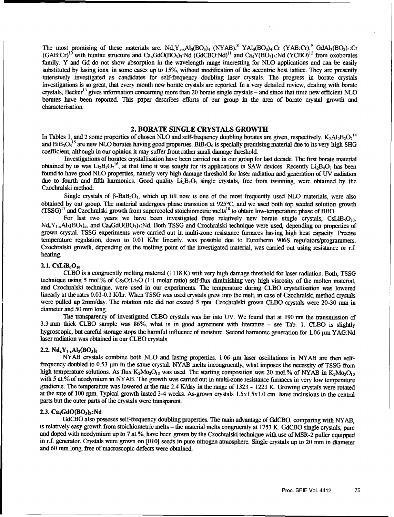The most promising of these materials are:  $Nd_xY_{1-x}Al_3(BO_3)_4$   $(NYAB)_3^8$   $YAl_3(BO_3)_4$ :Cr  $(YAB:Cr)_3^9$  GdAl<sub>3</sub>(BO<sub>3</sub>)<sub>4</sub>:Cr  $(GAB:Cr)^{10}$  with huntite structure and Ca<sub>4</sub>GdO(BO<sub>3</sub>)<sub>3</sub>:Nd (GdCBO:Nd)<sup>11</sup> and Ca<sub>4</sub>Y(BO<sub>3</sub>)<sub>3</sub>:Nd (YCBO)<sup>12</sup> from oxoborates family. Y and Gd do not show absorption in the wavelength range interesting for NLO applications and can be easily substituted by lasing ions, in some cases up to 15%, without modification of the accentric host lattice. They are presently intensively investigated as candidates for self-frequency doubling laser crystals. The progress in borate crystals investigations is so great, that every month new borate crystals are reported. In a very detailed review, dealing with borate crystals, Becker<sup>13</sup> gives information concerning more than 20 borate single crystals - and since that time new efficient NLO borates have been reported. This paper describes efforts of our group in the area of borate crystal growth and characterisation.

#### 2. BORATE **SINGLE** CRYSTALS GROWTH

In Tables 1, and 2 some properties of chosen NLO and self-frequency doubling borates are given, respectively.  $K_2A1_2B_2O_1^{14}$ and  $BiB_3O_6^{15}$  are new NLO borates having good properties.  $BiB_3O_6$  is specially promising material due to its very high SHG coefficient, although in our opinion it may suffer from rather small damage threshold.

Investigations of borates crystallisation have been carried out in our group for last decade. The first borate material obtained by us was  $Li_2B_4O_7^{16}$ , at that time it was sought for its applications in SAW devices. Recently  $Li_2B_4O_7$  has been found to have good NLO properties, namely very high damage threshold for laser radiation and generation of UV radiation due to fourth and fifth harmonics. Good quality  $Li_2B_4O_7$  single crystals, free from twinning, were obtained by the Czochralski method.

Single crystals of  $\beta$ -BaB<sub>2</sub>O<sub>4</sub>, which up till now is one of the most frequently used NLO materials, were also obtained by our group. The material undergoes phase transition at 925°C, and we used both top seeded solution growth  $(TSSG)^{17}$  and Czochralski growth from supercooled stoichiometric melts<sup>18</sup> to obtain low-temperature phase of BBO.

For last two years we have been investigated three relatively new borate single crystals, CsLiB<sub>6</sub>O<sub>10</sub>,  $N_{\rm dx}Y_{1-x}A_{3}B_{03}A_{3}$ , and Ca<sub>4</sub>GdO(BO<sub>3</sub>)<sub>3</sub>:Nd. Both TSSG and Czochralski technique were used, depending on properties of grown crystal. TSSG experiments were carried out in multi-zone resistance furnaces having high heat capacity. Precise temperature regulation, down to 0.01 K/hr linearly, was possible due to Eurotherm 906S regulators/programmers. Czochralski growth, depending on the melting point of the investigated material, was carried out using resistance or r.f. heating.

#### 2.1.  $CsLiB<sub>6</sub>O<sub>10</sub>$

CLBO is a congruently melting material (1118 K) with very high damage threshold for laser radiation. Both, TSSG technique using 5 mol.% of Cs<sub>2</sub>O:Li<sub>2</sub>O (1:1 molar ratio) self-flux diminishing very high viscosity of the molten material, and Czochralski technique, were used in our experiments. The temperature during CLBO crystallisation was lowered linearly at the rates 0.01-0.1 K/hr. When TSSG was used crystals grew into the melt, in case of Czochralski method crystals were pulled up 2mm/day. The rotation rate did not exceed 5 rpm. Czochralski grown CLBO crystals were 20-30 mm in diameter and 50 mm long.

The transparency of investigated CLBO crystals was far into UV. We found that at 190 nm the transmission of 3.3 mm thick CLBO sample was 86%, what is in good agreement with literature - see Tab. 1. CLBO is slightly hygroscopic, but careful storage stops the harmful influence of moisture. Second harmonic generation for 1.06  $\mu$ m YAG:Nd laser radiation was obtained in our CLBO crystals.

#### 2.2.  $Nd_xY_{1-x}Al_3(BO_3)_4$

NYAB crystals combine both NLO and lasing properties. 1.06  $\mu$ m laser oscillations in NYAB are then selffrequency doubled to 0.53 pm in the same crystal. NYAB melts incongruently, what imposes the necessity of TSSG from high temperature solutions. As flux K<sub>2</sub>Mo<sub>3</sub>O<sub>10</sub> was used. The starting composition was 20 mol.% of NYAB in K<sub>2</sub>Mo<sub>3</sub>O<sub>10</sub> with 5 at.% of neodymium in NYAB. The growth was carried out in multi-zone resistance furnaces in very low temperature gradients. The temperature was lowered at the rate 2.4 K/day in the range of 1323 - 1223 K. Growing crystals were rotated at the rate of 100 rpm. Typical growth lasted 3-4 weeks. As-grown crystals 1.5xl.5xl.0 cm have inclusions in the central parts but the outer parts of the crystals were transparent.

#### 2.3.  $Ca<sub>4</sub>GdO(BO<sub>3</sub>)<sub>3</sub>:Nd$

GdCBO also posseses self-frequency doubling properties. The main advantage of GdCBO, comparing with NYAB, is relatively easy growth from stoichiometric melts - the material melts congruently at 1753 K. GdCBO single crystals, pure and doped with neodymium up to 7 at.%, have been grown by the Czochralski technique with use of MSR-2 puller equipped in r.f. generator. Crystals were grown on [010] seeds in pure nitrogen atmosphere. Single crystals up to 20 mm in diameter and 60 mm long, free of macroscopic defects were obtained.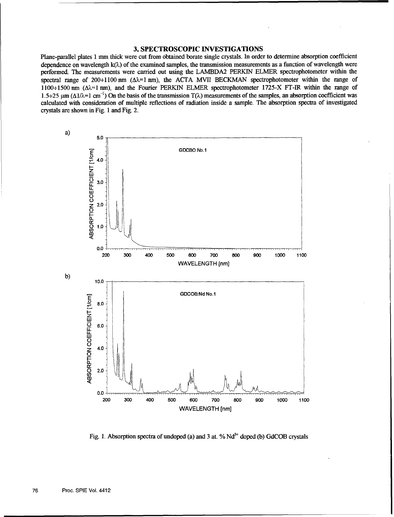#### **3. SPECTROSCOPIC INVESTIGATIONS**

Plane-parallel plates 1 mm thick were cut from obtained borate single crystals. In order to determine absorption coefficient dependence on wavelength **k(k)** of the examined samples, the transmission measurements as a function of wavelength were performed. The measurements were carried out using the LAMBDA2 PERKIN ELMER spectrophotometer within the spectral range of  $200+1100$  nm  $(\Delta \lambda = 1$  nm), the ACTA MVII BECKMAN spectrophotometer within the range of 1100÷1500 nm ( $\Delta\lambda$ =1 nm), and the Fourier PERKIN ELMER spectrophotometer 1725-X FT-IR within the range of 1.5÷25  $\mu$ m ( $\Delta 1/\lambda$ =1 cm<sup>-1</sup>) On the basis of the transmission T( $\lambda$ ) measurements of the samples, an absorption coefficient was calculated with consideration of multiple reflections of radiation inside a sample. The absorption spectra of investigated crystals are shown in Fig. 1 and Fig. 2.



Fig. 1. Absorption spectra of undoped (a) and 3 at.  $%$   $Nd<sup>3+</sup>$  doped (b) GdCOB crystals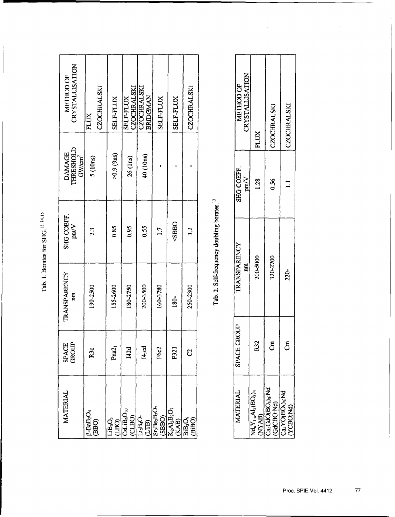Tab. 1. Borates for SHG.<sup>13,14,15</sup>

| CRYSTALLISATION<br>METHOD OF                     | <b>CZOCHRALSKI</b><br><b>FLUX</b>                 | <b>SELF-FLUX</b>                | CZOCHRALSKI<br><b>SELF-FLUX</b>            | CZOCHRALSKI<br>BRIDGMAN                                              | <b>SELF-FLUX</b>                        | <b>SELF-FLUX</b>                                                                                                 | CZOCHRALSKI                         |                                                        | METHOD OF                    | CRYSTALLISATION |
|--------------------------------------------------|---------------------------------------------------|---------------------------------|--------------------------------------------|----------------------------------------------------------------------|-----------------------------------------|------------------------------------------------------------------------------------------------------------------|-------------------------------------|--------------------------------------------------------|------------------------------|-----------------|
| THRESHOLD<br><b>DAMAGE</b><br>GW/cm <sup>2</sup> | 5 (10ns)                                          | >0.9(9ns)                       | $26$ (lns)                                 | 40 (10ns)                                                            |                                         |                                                                                                                  |                                     |                                                        | <b>SHG COEFF</b>             | p m/V           |
| <b>SHG COEFF</b><br>$_{\text{V}\text{mV}}$       | 2.3                                               | 0.85                            | 0.95                                       | 0.55                                                                 | 1.7                                     | <sbbo< td=""><td>32</td><td>Tab. 2. Self-frequency doubling borates.<sup>13</sup></td><td></td><td></td></sbbo<> | 32                                  | Tab. 2. Self-frequency doubling borates. <sup>13</sup> |                              |                 |
| <b>TRANSPARENCY</b><br>nm                        | 190-2500                                          | 155-2600                        | 180-2750                                   | 200-3500                                                             | 160-3780                                | 180-                                                                                                             | 250-2300                            |                                                        | <b>TRANSPARENCY</b>          | m               |
| <b>SPACE</b><br>GROUP                            | R3c                                               | Pna <sub>2</sub>                | 142d                                       | 14,00                                                                | P6c2                                    | P <sub>21</sub>                                                                                                  | ට්                                  |                                                        | <b>GROUP</b><br><b>SPACE</b> |                 |
| MATERIAL                                         | $\beta$ -BaB <sub>2</sub> O <sub>4</sub><br>(BBO) | LiB <sub>3</sub> O <sub>5</sub> | $\underbrace{\text{CSLIBO}_1}_\text{CLBO}$ | $\begin{array}{c} \mathrm{Li_2B_4O_7} \\ \mathrm{(LTB)} \end{array}$ | $\frac{\rm Sr_2Be_2B_2O_7}{\rm (SBBO)}$ | $K_2A_2B_2O_7$<br>$(KAB)$                                                                                        | <b>BiB<sub>3</sub>O<sub>6</sub></b> |                                                        | <b>MATERIAL</b>              |                 |

| <b>SELF-FLUX</b>               | <b>SELF-FLUX</b>                                                                        | CZOCHRALSKI          |                                                        | CRYSTALLISATION<br>METHOD OF | <b>FLUX</b>                                      | <b>CZOCHRALSKI</b> | <b>CZOCHRALSKI</b>                                                                                                            |  |
|--------------------------------|-----------------------------------------------------------------------------------------|----------------------|--------------------------------------------------------|------------------------------|--------------------------------------------------|--------------------|-------------------------------------------------------------------------------------------------------------------------------|--|
|                                |                                                                                         |                      |                                                        |                              |                                                  |                    |                                                                                                                               |  |
|                                |                                                                                         |                      |                                                        | <b>SHG COEFF</b><br>pm/V     | 1.28                                             | 0.56               |                                                                                                                               |  |
|                                |                                                                                         |                      |                                                        |                              |                                                  |                    |                                                                                                                               |  |
| 1.7                            | <sbbo< td=""><td>3.2</td><td></td><td></td><td></td><td></td><td></td><td></td></sbbo<> | 3.2                  |                                                        |                              |                                                  |                    |                                                                                                                               |  |
| 160-3780                       | <b>180-</b>                                                                             | 250-2300             | Tab. 2. Self-frequency doubling borates. <sup>13</sup> | <b>TRANSPARENCY</b><br>m     | 200-5000                                         | 320-2700           | 220-                                                                                                                          |  |
|                                |                                                                                         |                      |                                                        |                              |                                                  |                    |                                                                                                                               |  |
| P6c2                           | P <sub>321</sub>                                                                        | ට්                   |                                                        | SPACE GROUP                  | <b>R32</b>                                       | អ៊ី                | Ę                                                                                                                             |  |
| $\rm Sr_2Be_2B_2O_7$<br>(SBBO) | $K_2Al_2B_2O_7$<br>(KAB)                                                                | $BiB_3O_6$<br>(BiBO) |                                                        | <b>MATERIAL</b>              | $\frac{\rm Nd_xY_{1-x}AJ_3(BO_3)_4}{\rm (NYAB)}$ |                    | $\frac{\text{CaGdO(BO)}_3\text{;Nd}}{\text{CaC(BO)}\text{;Nd}}\ \frac{\text{(GdCBO)}_3\text{;Nd}}{\text{(YCBO)}_3\text{;Nd}}$ |  |

 $\hat{\mathcal{L}}$ 

 $\bar{z}$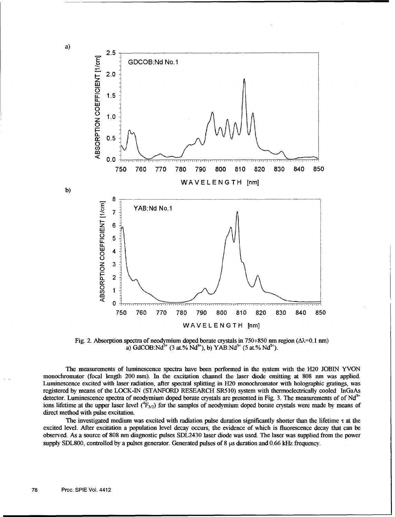

Fig. 2. Absorption spectra of neodymium doped borate crystals in 750÷850 nm region ( $\Delta\lambda$ =0.1 nm) a) GdCOB:Nd<sup>3+</sup> (3 at.% Nd<sup>3+</sup>), b) YAB:Nd<sup>3+</sup> (5 at.% Nd<sup>3+</sup>).

The measurements of luminescence spectra have been performed in the system with the H20 JOBIN YVON monochromator (focal length 200 mm). In the excitation channel the laser diode emitting at 808 nm was applied. Luminescence excited with laser radiation, after spectral splitting in H20 monochromator with holographic gratings, was registered by means of the LOCK-IN (STANFORD RESEARCH SR510) system with thermoelectrically cooled InGaAs detector. Luminescence spectra of neodymium doped borate crystals are presented in Fig. 3. The measurements of of  $Nd<sup>3+</sup>$  $\frac{1}{2}$  for  $\frac{1}{2}$  for  $\frac{1}{2}$  for the samples of neodymium doped borate crystals were made by means of ions lifetime at the upper laser level  $(^{4}F_{3/2})$  for the samples of neodymium doped borate crystals were ma direct method with pulse excitation.

The investigated medium was excited with radiation pulse duration significantly shorter than the lifetime  $\tau$  at the excited level. After excitation a population level decay occurs, the evidence of which is fluorescence decay that can be observed. As a source of 808 nm diagnostic pulses SDL2430 laser diode was used. The laser was supplied from the power supply SDL800, controlled by a pulses generator. Generated pulses of 8  $\mu$ s duration and 0.66 kHz frequency.

a)

b)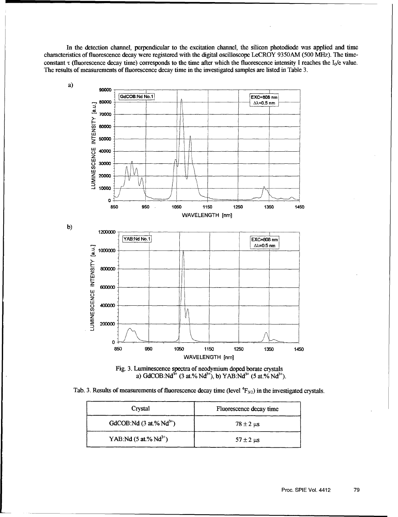In the detection channel, perpendicular to the excitation channel, the silicon photodiode was applied and time characteristics of fluorescence decay were registered with the digital oscilloscope LeCROY 9350AM (500 MHz). The timeconstant  $\tau$  (fluorescence decay time) corresponds to the time after which the fluorescence intensity I reaches the I<sub>0</sub>/e value. The results of measurements of fluorescence decay time in the investigated samples are listed in Table 3.





Tab. 3. Results of measurements of fluorescence decay time (level  ${}^{4}F_{3/2}$ ) in the investigated crystals.

| Crystal                               | Fluorescence decay time        |  |  |  |
|---------------------------------------|--------------------------------|--|--|--|
| GdCOB:Nd $(3$ at.% Nd <sup>3+</sup> ) | $78 \pm 2 \text{ }\mu\text{s}$ |  |  |  |
| YAB:Nd $(5$ at.% Nd <sup>3+</sup> )   | $57 \pm 2$ us                  |  |  |  |

Proc. **SPIE** Vol. 4412 **79**